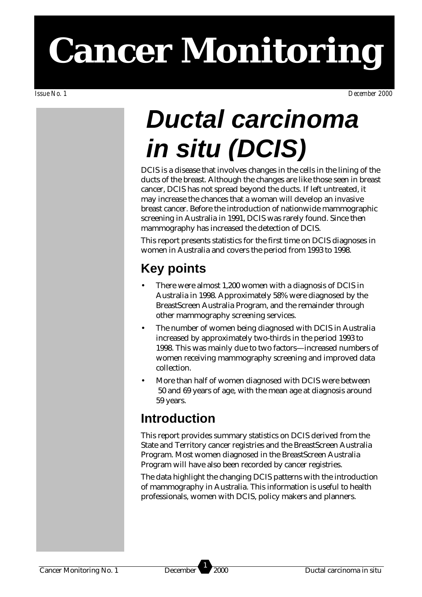# **Cancer Monitoring**

## *Ductal carcinoma in situ (DCIS)*

DCIS is a disease that involves changes in the cells in the lining of the ducts of the breast. Although the changes are like those seen in breast cancer, DCIS has not spread beyond the ducts. If left untreated, it may increase the chances that a woman will develop an invasive breast cancer. Before the introduction of nationwide mammographic screening in Australia in 1991, DCIS was rarely found. Since then mammography has increased the detection of DCIS.

This report presents statistics for the first time on DCIS diagnoses in women in Australia and covers the period from 1993 to 1998.

## **Key points**

- There were almost 1,200 women with a diagnosis of DCIS in Australia in 1998. Approximately 58% were diagnosed by the BreastScreen Australia Program, and the remainder through other mammography screening services.
- The number of women being diagnosed with DCIS in Australia increased by approximately two-thirds in the period 1993 to 1998. This was mainly due to two factors—increased numbers of women receiving mammography screening and improved data collection.
- More than half of women diagnosed with DCIS were between 50 and 69 years of age, with the mean age at diagnosis around 59 years.

### **Introduction**

This report provides summary statistics on DCIS derived from the State and Territory cancer registries and the BreastScreen Australia Program. Most women diagnosed in the BreastScreen Australia Program will have also been recorded by cancer registries.

The data highlight the changing DCIS patterns with the introduction of mammography in Australia. This information is useful to health professionals, women with DCIS, policy makers and planners.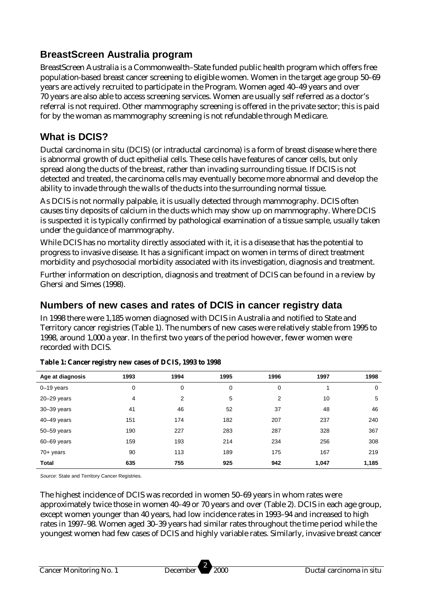#### **BreastScreen Australia program**

BreastScreen Australia is a Commonwealth–State funded public health program which offers free population-based breast cancer screening to eligible women. Women in the target age group 50–69 years are actively recruited to participate in the Program. Women aged 40–49 years and over 70 years are also able to access screening services. Women are usually self referred as a doctor's referral is not required. Other mammography screening is offered in the private sector; this is paid for by the woman as mammography screening is not refundable through Medicare.

#### **What is DCIS?**

Ductal carcinoma in situ (DCIS) (or intraductal carcinoma) is a form of breast disease where there is abnormal growth of duct epithelial cells. These cells have features of cancer cells, but only spread along the ducts of the breast, rather than invading surrounding tissue. If DCIS is not detected and treated, the carcinoma cells may eventually become more abnormal and develop the ability to invade through the walls of the ducts into the surrounding normal tissue.

As DCIS is not normally palpable, it is usually detected through mammography. DCIS often causes tiny deposits of calcium in the ducts which may show up on mammography. Where DCIS is suspected it is typically confirmed by pathological examination of a tissue sample, usually taken under the guidance of mammography.

While DCIS has no mortality directly associated with it, it is a disease that has the potential to progress to invasive disease. It has a significant impact on women in terms of direct treatment morbidity and psychosocial morbidity associated with its investigation, diagnosis and treatment.

Further information on description, diagnosis and treatment of DCIS can be found in a review by Ghersi and Simes (1998).

#### **Numbers of new cases and rates of DCIS in cancer registry data**

In 1998 there were 1,185 women diagnosed with DCIS in Australia and notified to State and Territory cancer registries (Table 1). The numbers of new cases were relatively stable from 1995 to 1998, around 1,000 a year. In the first two years of the period however, fewer women were recorded with DCIS.

| Age at diagnosis | 1993 | 1994 | 1995 | 1996 | 1997  | 1998  |
|------------------|------|------|------|------|-------|-------|
| $0 - 19$ years   | 0    | 0    | 0    | 0    |       | 0     |
| $20 - 29$ years  | 4    | 2    | 5    | 2    | 10    | 5     |
| $30 - 39$ years  | 41   | 46   | 52   | 37   | 48    | 46    |
| $40 - 49$ years  | 151  | 174  | 182  | 207  | 237   | 240   |
| 50-59 years      | 190  | 227  | 283  | 287  | 328   | 367   |
| 60-69 years      | 159  | 193  | 214  | 234  | 256   | 308   |
| $70+$ years      | 90   | 113  | 189  | 175  | 167   | 219   |
| <b>Total</b>     | 635  | 755  | 925  | 942  | 1,047 | 1,185 |

#### **Table 1: Cancer registry new cases of DCIS, 1993 to 1998**

*Source*: State and Territory Cancer Registries.

The highest incidence of DCIS was recorded in women 50–69 years in whom rates were approximately twice those in women 40–49 or 70 years and over (Table 2). DCIS in each age group, except women younger than 40 years, had low incidence rates in 1993–94 and increased to high rates in 1997–98. Women aged 30–39 years had similar rates throughout the time period while the youngest women had few cases of DCIS and highly variable rates. Similarly, invasive breast cancer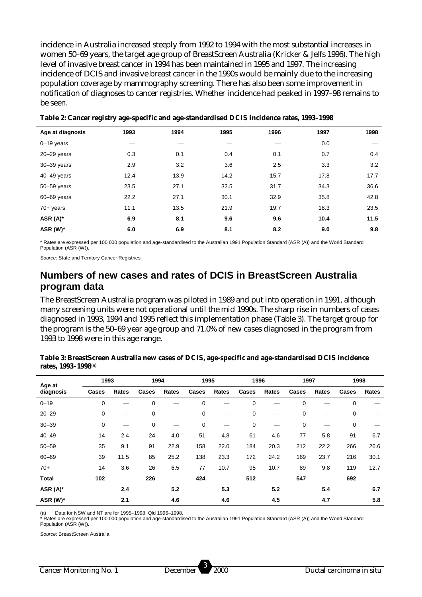incidence in Australia increased steeply from 1992 to 1994 with the most substantial increases in women 50–69 years, the target age group of BreastScreen Australia (Kricker & Jelfs 1996). The high level of invasive breast cancer in 1994 has been maintained in 1995 and 1997. The increasing incidence of DCIS and invasive breast cancer in the 1990s would be mainly due to the increasing population coverage by mammography screening. There has also been some improvement in notification of diagnoses to cancer registries. Whether incidence had peaked in 1997–98 remains to be seen.

| Age at diagnosis | 1993 | 1994 | 1995 | 1996 | 1997 | 1998 |
|------------------|------|------|------|------|------|------|
| $0 - 19$ years   |      |      |      |      | 0.0  |      |
| $20 - 29$ years  | 0.3  | 0.1  | 0.4  | 0.1  | 0.7  | 0.4  |
| 30-39 years      | 2.9  | 3.2  | 3.6  | 2.5  | 3.3  | 3.2  |
| $40 - 49$ years  | 12.4 | 13.9 | 14.2 | 15.7 | 17.8 | 17.7 |
| 50-59 years      | 23.5 | 27.1 | 32.5 | 31.7 | 34.3 | 36.6 |
| 60-69 years      | 22.2 | 27.1 | 30.1 | 32.9 | 35.8 | 42.8 |
| $70+$ years      | 11.1 | 13.5 | 21.9 | 19.7 | 18.3 | 23.5 |
| ASR (A)*         | 6.9  | 8.1  | 9.6  | 9.6  | 10.4 | 11.5 |
| ASR (W)*         | 6.0  | 6.9  | 8.1  | 8.2  | 9.0  | 9.8  |

**Table 2: Cancer registry age-specific and age-standardised DCIS incidence rates, 1993–1998**

\* Rates are expressed per 100,000 population and age-standardised to the Australian 1991 Population Standard (ASR (A)) and the World Standard Population (ASR (W)).

*Source*: State and Territory Cancer Registries.

#### **Numbers of new cases and rates of DCIS in BreastScreen Australia program data**

The BreastScreen Australia program was piloted in 1989 and put into operation in 1991, although many screening units were not operational until the mid 1990s. The sharp rise in numbers of cases diagnosed in 1993, 1994 and 1995 reflect this implementation phase (Table 3). The target group for the program is the 50–69 year age group and 71.0% of new cases diagnosed in the program from 1993 to 1998 were in this age range.

| Age at       | 1993  |       | 1994  |       | 1995  |       | 1996  |       | 1997        |       | 1998  |       |
|--------------|-------|-------|-------|-------|-------|-------|-------|-------|-------------|-------|-------|-------|
| diagnosis    | Cases | Rates | Cases | Rates | Cases | Rates | Cases | Rates | Cases       | Rates | Cases | Rates |
| $0 - 19$     | 0     |       | 0     |       | 0     |       | 0     |       | 0           |       | 0     |       |
| $20 - 29$    | 0     |       | 0     |       | 0     |       | 0     |       | $\mathbf 0$ |       | 0     |       |
| $30 - 39$    | 0     |       | 0     |       | 0     |       | 0     |       | 0           |       | 0     |       |
| $40 - 49$    | 14    | 2.4   | 24    | 4.0   | 51    | 4.8   | 61    | 4.6   | 77          | 5.8   | 91    | 6.7   |
| $50 - 59$    | 35    | 9.1   | 91    | 22.9  | 158   | 22.0  | 184   | 20.3  | 212         | 22.2  | 266   | 26.6  |
| $60 - 69$    | 39    | 11.5  | 85    | 25.2  | 138   | 23.3  | 172   | 24.2  | 169         | 23.7  | 216   | 30.1  |
| $70+$        | 14    | 3.6   | 26    | 6.5   | 77    | 10.7  | 95    | 10.7  | 89          | 9.8   | 119   | 12.7  |
| <b>Total</b> | 102   |       | 226   |       | 424   |       | 512   |       | 547         |       | 692   |       |
| ASR (A)*     |       | 2.4   |       | 5.2   |       | 5.3   |       | 5.2   |             | 5.4   |       | 6.7   |
| ASR (W)*     |       | 2.1   |       | 4.6   |       | 4.6   |       | 4.5   |             | 4.7   |       | 5.8   |

**Table 3: BreastScreen Australia new cases of DCIS, age-specific and age-standardised DCIS incidence rates, 1993–1998**(a)

Data for NSW and NT are for 1995–1998, Qld 1996–1998.

\* Rates are expressed per 100,000 population and age-standardised to the Australian 1991 Population Standard (ASR (A)) and the World Standard Population (ASR (W)).

*Source*: BreastScreen Australia.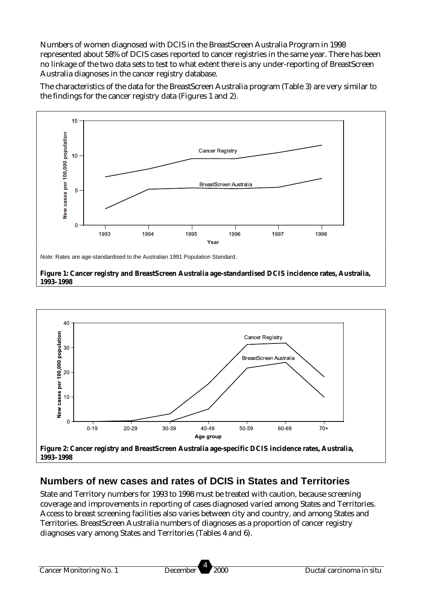Numbers of women diagnosed with DCIS in the BreastScreen Australia Program in 1998 represented about 58% of DCIS cases reported to cancer registries in the same year. There has been no linkage of the two data sets to test to what extent there is any under-reporting of BreastScreen Australia diagnoses in the cancer registry database.

The characteristics of the data for the BreastScreen Australia program (Table 3) are very similar to the findings for the cancer registry data (Figures 1 and 2).



**1993–1998**



#### **Numbers of new cases and rates of DCIS in States and Territories**

State and Territory numbers for 1993 to 1998 must be treated with caution, because screening coverage and improvements in reporting of cases diagnosed varied among States and Territories. Access to breast screening facilities also varies between city and country, and among States and Territories. BreastScreen Australia numbers of diagnoses as a proportion of cancer registry diagnoses vary among States and Territories (Tables 4 and 6).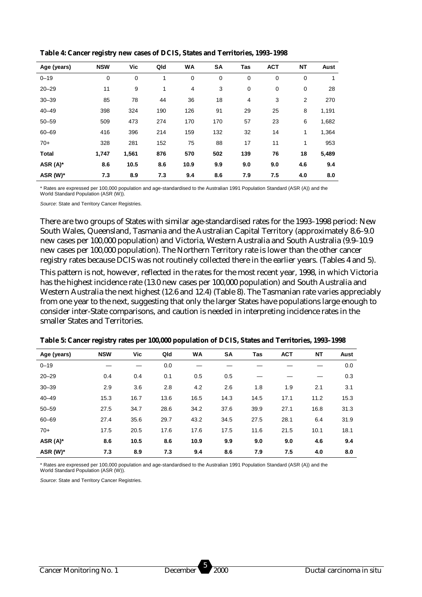| Age (years)  | <b>NSW</b> | Vic   | Qld | WA   | <b>SA</b> | Tas         | <b>ACT</b>  | <b>NT</b>      | Aust  |
|--------------|------------|-------|-----|------|-----------|-------------|-------------|----------------|-------|
| $0 - 19$     | 0          | 0     | 1   | 0    | 0         | 0           | 0           | $\mathbf 0$    |       |
| $20 - 29$    | 11         | 9     | 1   | 4    | 3         | $\mathbf 0$ | $\mathbf 0$ | $\mathbf 0$    | 28    |
| $30 - 39$    | 85         | 78    | 44  | 36   | 18        | 4           | 3           | $\overline{2}$ | 270   |
| $40 - 49$    | 398        | 324   | 190 | 126  | 91        | 29          | 25          | 8              | 1,191 |
| $50 - 59$    | 509        | 473   | 274 | 170  | 170       | 57          | 23          | 6              | 1,682 |
| $60 - 69$    | 416        | 396   | 214 | 159  | 132       | 32          | 14          | 1              | 1,364 |
| $70+$        | 328        | 281   | 152 | 75   | 88        | 17          | 11          | 1              | 953   |
| <b>Total</b> | 1,747      | 1,561 | 876 | 570  | 502       | 139         | 76          | 18             | 5,489 |
| ASR $(A)^*$  | 8.6        | 10.5  | 8.6 | 10.9 | 9.9       | 9.0         | 9.0         | 4.6            | 9.4   |
| ASR (W)*     | 7.3        | 8.9   | 7.3 | 9.4  | 8.6       | 7.9         | 7.5         | 4.0            | 8.0   |

**Table 4: Cancer registry new cases of DCIS, States and Territories, 1993–1998**

\* Rates are expressed per 100,000 population and age-standardised to the Australian 1991 Population Standard (ASR (A)) and the World Standard Population (ASR (W)).

*Source*: State and Territory Cancer Registries.

There are two groups of States with similar age-standardised rates for the 1993–1998 period: New South Wales, Queensland, Tasmania and the Australian Capital Territory (approximately 8.6–9.0 new cases per 100,000 population) and Victoria, Western Australia and South Australia (9.9–10.9 new cases per 100,000 population). The Northern Territory rate is lower than the other cancer registry rates because DCIS was not routinely collected there in the earlier years. (Tables 4 and 5).

This pattern is not, however, reflected in the rates for the most recent year, 1998, in which Victoria has the highest incidence rate (13.0 new cases per 100,000 population) and South Australia and Western Australia the next highest (12.6 and 12.4) (Table 8). The Tasmanian rate varies appreciably from one year to the next, suggesting that only the larger States have populations large enough to consider inter-State comparisons, and caution is needed in interpreting incidence rates in the smaller States and Territories.

| Age (years) | <b>NSW</b> | <b>Vic</b> | Qld  | <b>WA</b> | SA   | Tas  | <b>ACT</b> | NT   | Aust |
|-------------|------------|------------|------|-----------|------|------|------------|------|------|
| $0 - 19$    |            |            | 0.0  |           |      |      |            |      | 0.0  |
| $20 - 29$   | 0.4        | 0.4        | 0.1  | 0.5       | 0.5  |      |            |      | 0.3  |
| $30 - 39$   | 2.9        | 3.6        | 2.8  | 4.2       | 2.6  | 1.8  | 1.9        | 2.1  | 3.1  |
| $40 - 49$   | 15.3       | 16.7       | 13.6 | 16.5      | 14.3 | 14.5 | 17.1       | 11.2 | 15.3 |
| $50 - 59$   | 27.5       | 34.7       | 28.6 | 34.2      | 37.6 | 39.9 | 27.1       | 16.8 | 31.3 |
| $60 - 69$   | 27.4       | 35.6       | 29.7 | 43.2      | 34.5 | 27.5 | 28.1       | 6.4  | 31.9 |
| $70+$       | 17.5       | 20.5       | 17.6 | 17.6      | 17.5 | 11.6 | 21.5       | 10.1 | 18.1 |
| ASR $(A)^*$ | 8.6        | 10.5       | 8.6  | 10.9      | 9.9  | 9.0  | 9.0        | 4.6  | 9.4  |
| ASR (W)*    | 7.3        | 8.9        | 7.3  | 9.4       | 8.6  | 7.9  | 7.5        | 4.0  | 8.0  |

**Table 5: Cancer registry rates per 100,000 population of DCIS, States and Territories, 1993–1998**

\* Rates are expressed per 100,000 population and age-standardised to the Australian 1991 Population Standard (ASR (A)) and the World Standard Population (ASR (W)).

*Source*: State and Territory Cancer Registries.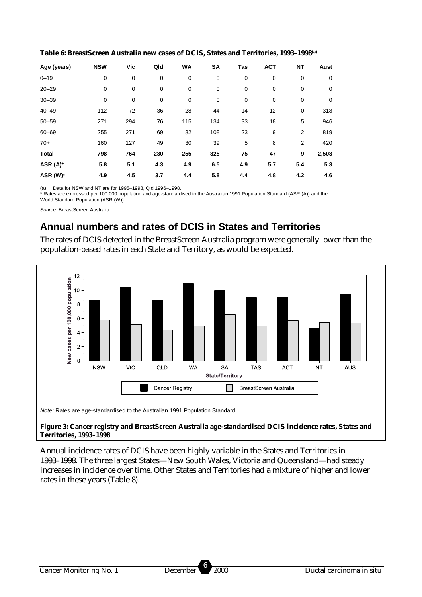| Age (years)  | <b>NSW</b> | Vic | Qld | <b>WA</b> | SΑ          | Tas         | <b>ACT</b>  | <b>NT</b>      | Aust  |
|--------------|------------|-----|-----|-----------|-------------|-------------|-------------|----------------|-------|
| $0 - 19$     | 0          | 0   | 0   | 0         | 0           | $\mathbf 0$ | $\mathbf 0$ | $\mathbf 0$    | 0     |
| $20 - 29$    | 0          | 0   | 0   | 0         | $\mathbf 0$ | $\mathbf 0$ | $\mathbf 0$ | 0              | 0     |
| $30 - 39$    | 0          | 0   | 0   | 0         | 0           | 0           | $\mathbf 0$ | 0              | 0     |
| $40 - 49$    | 112        | 72  | 36  | 28        | 44          | 14          | 12          | 0              | 318   |
| $50 - 59$    | 271        | 294 | 76  | 115       | 134         | 33          | 18          | 5              | 946   |
| $60 - 69$    | 255        | 271 | 69  | 82        | 108         | 23          | 9           | $\overline{2}$ | 819   |
| $70+$        | 160        | 127 | 49  | 30        | 39          | 5           | 8           | $\overline{2}$ | 420   |
| <b>Total</b> | 798        | 764 | 230 | 255       | 325         | 75          | 47          | 9              | 2,503 |
| ASR (A)*     | 5.8        | 5.1 | 4.3 | 4.9       | 6.5         | 4.9         | 5.7         | 5.4            | 5.3   |
| ASR (W)*     | 4.9        | 4.5 | 3.7 | 4.4       | 5.8         | 4.4         | 4.8         | 4.2            | 4.6   |

**Table 6: BreastScreen Australia new cases of DCIS, States and Territories, 1993–1998(a)**

(a) Data for NSW and NT are for 1995–1998, Qld 1996–1998.

\* Rates are expressed per 100,000 population and age-standardised to the Australian 1991 Population Standard (ASR (A)) and the World Standard Population (ASR (W)).

*Source*: BreastScreen Australia.

#### **Annual numbers and rates of DCIS in States and Territories**

The rates of DCIS detected in the BreastScreen Australia program were generally lower than the population-based rates in each State and Territory, as would be expected.



*Note:* Rates are age-standardised to the Australian 1991 Population Standard.

#### **Figure 3: Cancer registry and BreastScreen Australia age-standardised DCIS incidence rates, States and Territories, 1993–1998**

Annual incidence rates of DCIS have been highly variable in the States and Territories in 1993–1998. The three largest States—New South Wales, Victoria and Queensland—had steady increases in incidence over time. Other States and Territories had a mixture of higher and lower rates in these years (Table 8).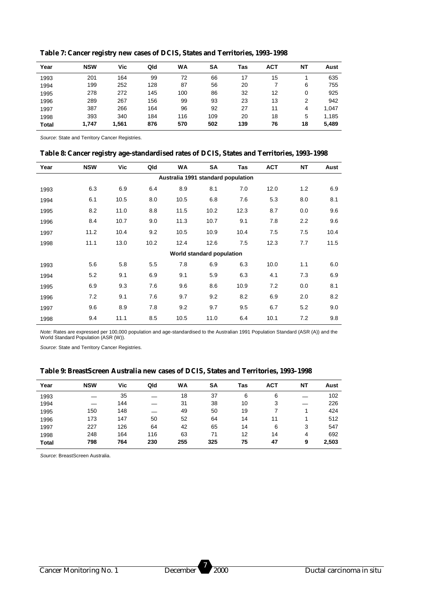| Year         | <b>NSW</b> | Vic   | Qld | WA  | SΑ  | Tas | АСТ | NΤ | Aust  |
|--------------|------------|-------|-----|-----|-----|-----|-----|----|-------|
| 1993         | 201        | 164   | 99  | 72  | 66  |     | 15  |    | 635   |
| 1994         | 199        | 252   | 128 | 87  | 56  | 20  |     | 6  | 755   |
| 1995         | 278        | 272   | 145 | 100 | 86  | 32  | 12  | 0  | 925   |
| 1996         | 289        | 267   | 156 | 99  | 93  | 23  | 13  | 2  | 942   |
| 1997         | 387        | 266   | 164 | 96  | 92  | 27  | 11  | 4  | 1,047 |
| 1998         | 393        | 340   | 184 | 116 | 109 | 20  | 18  | 5  | 1,185 |
| <b>Total</b> | 1,747      | 1,561 | 876 | 570 | 502 | 139 | 76  | 18 | 5,489 |

**Table 7: Cancer registry new cases of DCIS, States and Territories, 1993–1998**

*Source*: State and Territory Cancer Registries.

 $\overline{a}$ 

| Table 8: Cancer registry age-standardised rates of DCIS, States and Territories, 1993-1998 |  |  |  |
|--------------------------------------------------------------------------------------------|--|--|--|
|                                                                                            |  |  |  |

| Year | <b>NSW</b> | Vic  | Qld  | WA                                 | SA                        | <b>Tas</b> | <b>ACT</b> | <b>NT</b> | Aust |
|------|------------|------|------|------------------------------------|---------------------------|------------|------------|-----------|------|
|      |            |      |      | Australia 1991 standard population |                           |            |            |           |      |
| 1993 | 6.3        | 6.9  | 6.4  | 8.9                                | 8.1                       | 7.0        | 12.0       | 1.2       | 6.9  |
| 1994 | 6.1        | 10.5 | 8.0  | 10.5                               | 6.8                       | 7.6        | 5.3        | 8.0       | 8.1  |
| 1995 | 8.2        | 11.0 | 8.8  | 11.5                               | 10.2                      | 12.3       | 8.7        | 0.0       | 9.6  |
| 1996 | 8.4        | 10.7 | 9.0  | 11.3                               | 10.7                      | 9.1        | 7.8        | 2.2       | 9.6  |
| 1997 | 11.2       | 10.4 | 9.2  | 10.5                               | 10.9                      | 10.4       | 7.5        | 7.5       | 10.4 |
| 1998 | 11.1       | 13.0 | 10.2 | 12.4                               | 12.6                      | 7.5        | 12.3       | 7.7       | 11.5 |
|      |            |      |      |                                    | World standard population |            |            |           |      |
| 1993 | 5.6        | 5.8  | 5.5  | 7.8                                | 6.9                       | 6.3        | 10.0       | 1.1       | 6.0  |
| 1994 | 5.2        | 9.1  | 6.9  | 9.1                                | 5.9                       | 6.3        | 4.1        | 7.3       | 6.9  |
| 1995 | 6.9        | 9.3  | 7.6  | 9.6                                | 8.6                       | 10.9       | 7.2        | 0.0       | 8.1  |
| 1996 | 7.2        | 9.1  | 7.6  | 9.7                                | 9.2                       | 8.2        | 6.9        | 2.0       | 8.2  |
| 1997 | 9.6        | 8.9  | 7.8  | 9.2                                | 9.7                       | 9.5        | 6.7        | 5.2       | 9.0  |
| 1998 | 9.4        | 11.1 | 8.5  | 10.5                               | 11.0                      | 6.4        | 10.1       | 7.2       | 9.8  |

*Note:* Rates are expressed per 100,000 population and age-standardised to the Australian 1991 Population Standard (ASR (A)) and the World Standard Population (ASR (W)).

*Source*: State and Territory Cancer Registries.

| Year         | <b>NSW</b> | Vic | Qld | <b>WA</b> | SA  | Tas | <b>ACT</b> | NΤ | Aust  |
|--------------|------------|-----|-----|-----------|-----|-----|------------|----|-------|
| 1993         |            | 35  |     | 18        | 37  | 6   | 6          |    | 102   |
| 1994         |            | 144 |     | 31        | 38  | 10  | 3          |    | 226   |
| 1995         | 150        | 148 |     | 49        | 50  | 19  |            |    | 424   |
| 1996         | 173        | 147 | 50  | 52        | 64  | 14  | 11         |    | 512   |
| 1997         | 227        | 126 | 64  | 42        | 65  | 14  | 6          | 3  | 547   |
| 1998         | 248        | 164 | 116 | 63        | 71  | 12  | 14         | 4  | 692   |
| <b>Total</b> | 798        | 764 | 230 | 255       | 325 | 75  | 47         | 9  | 2,503 |

*Source*: BreastScreen Australia.